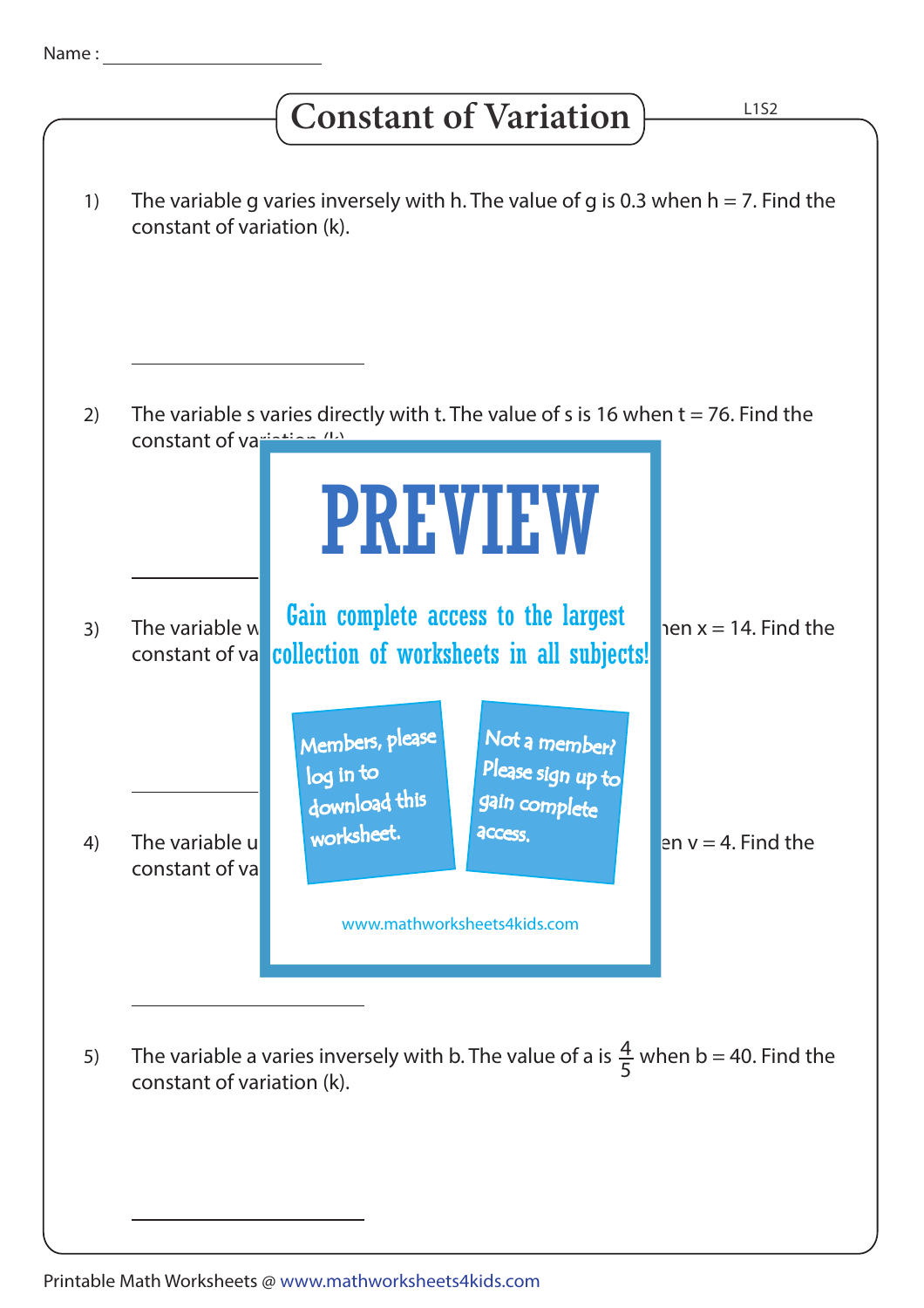## **Constant of Variation**

| 1) | The variable g varies inversely with h. The value of g is 0.3 when $h = 7$ . Find the<br>constant of variation (k).         |                                                                                                             |
|----|-----------------------------------------------------------------------------------------------------------------------------|-------------------------------------------------------------------------------------------------------------|
|    |                                                                                                                             |                                                                                                             |
| 2) |                                                                                                                             | The variable s varies directly with t. The value of s is 16 when $t = 76$ . Find the                        |
|    | constant of variation (1.)                                                                                                  |                                                                                                             |
|    |                                                                                                                             | <b>PREVIEW</b>                                                                                              |
| 3) | The variable w<br>constant of va                                                                                            | Gain complete access to the largest<br>hen $x = 14$ . Find the<br>collection of worksheets in all subjects! |
|    |                                                                                                                             | Members, please<br>Not a member?                                                                            |
|    |                                                                                                                             | Please sign up to<br>log in to<br>gain complete<br>download this                                            |
| 4) | The variable u<br>constant of va                                                                                            | worksheet.<br>access.<br>en $v = 4$ . Find the                                                              |
|    |                                                                                                                             | www.mathworksheets4kids.com                                                                                 |
|    |                                                                                                                             |                                                                                                             |
| 5) | The variable a varies inversely with b. The value of a is $\frac{4}{5}$ when b = 40. Find the<br>constant of variation (k). |                                                                                                             |
|    |                                                                                                                             |                                                                                                             |
|    |                                                                                                                             |                                                                                                             |